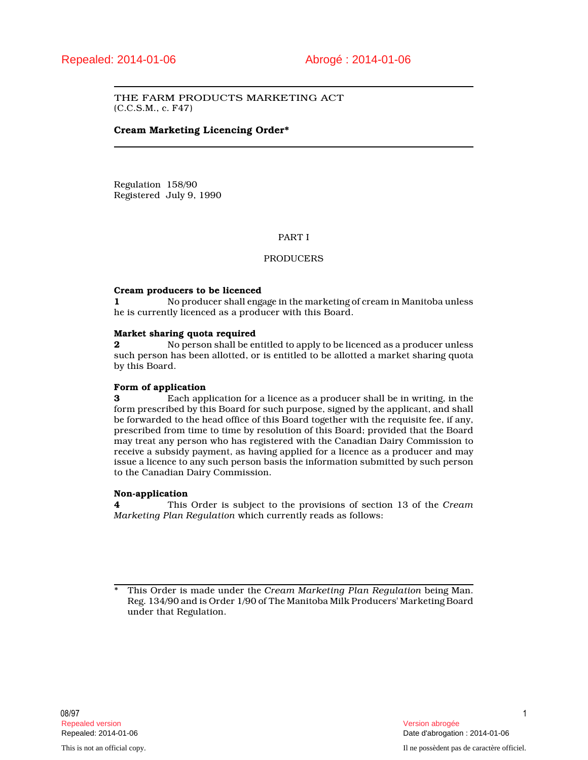THE FARM PRODUCTS MARKETING ACT (C.C.S.M., c. F47)

# **Cream Marketing Licencing Order\***

Regulation 158/90 Registered July 9, 1990

# PART I

# PRODUCERS

#### **Cream producers to be licenced**

**1** No producer shall engage in the marketing of cream in Manitoba unless he is currently licenced as a producer with this Board.

#### **Market sharing quota required**

**2** No person shall be entitled to apply to be licenced as a producer unless such person has been allotted, or is entitled to be allotted a market sharing quota by this Board.

### **Form of application**

**3** Each application for a licence as a producer shall be in writing, in the form prescribed by this Board for such purpose, signed by the applicant, and shall be forwarded to the head office of this Board together with the requisite fee, if any, prescribed from time to time by resolution of this Board; provided that the Board may treat any person who has registered with the Canadian Dairy Commission to receive a subsidy payment, as having applied for a licence as a producer and may issue a licence to any such person basis the information submitted by such person to the Canadian Dairy Commission.

## **Non-application**

**4** This Order is subject to the provisions of section 13 of the *Cream Marketing Plan Regulation* which currently reads as follows:

<sup>\*</sup> This Order is made under the *Cream Marketing Plan Regulation* being Man. Reg. 134/90 and is Order 1/90 of The Manitoba Milk Producers' Marketing Board under that Regulation.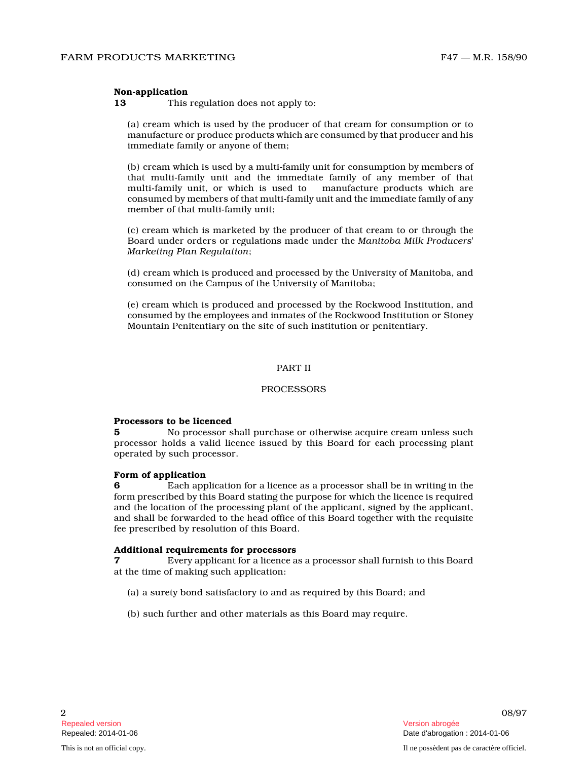## **Non-application**

**13** This regulation does not apply to:

(a) cream which is used by the producer of that cream for consumption or to manufacture or produce products which are consumed by that producer and his immediate family or anyone of them;

(b) cream which is used by a multi-family unit for consumption by members of that multi-family unit and the immediate family of any member of that multi-family unit, or which is used to manufacture products which are consumed by members of that multi-family unit and the immediate family of any member of that multi-family unit;

(c) cream which is marketed by the producer of that cream to or through the Board under orders or regulations made under the *Manitoba Milk Producers' Marketing Plan Regulation* ;

(d) cream which is produced and processed by the University of Manitoba, and consumed on the Campus of the University of Manitoba;

(e) cream which is produced and processed by the Rockwood Institution, and consumed by the employees and inmates of the Rockwood Institution or Stoney Mountain Penitentiary on the site of such institution or penitentiary.

#### PART II

#### PROCESSORS

# **Processors to be licenced**

**5** No processor shall purchase or otherwise acquire cream unless such processor holds a valid licence issued by this Board for each processing plant operated by such processor.

# **Form of application**

**6** Each application for a licence as a processor shall be in writing in the form prescribed by this Board stating the purpose for which the licence is required and the location of the processing plant of the applicant, signed by the applicant, and shall be forwarded to the head office of this Board together with the requisite fee prescribed by resolution of this Board.

#### **Additional requirements for processors**

**7** Every applicant for a licence as a processor shall furnish to this Board at the time of making such application:

- (a) a surety bond satisfactory to and as required by this Board; and
- (b) such further and other materials as this Board may require.